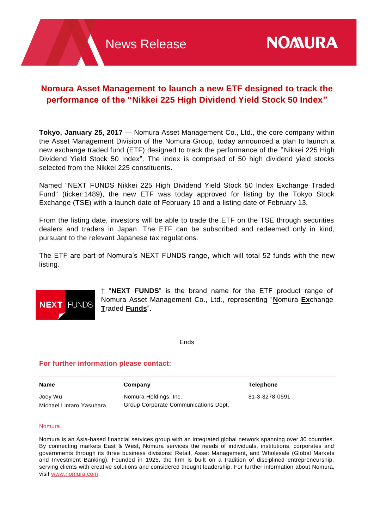# **Nomura Asset Management to launch a new ETF designed to track the performance of the "Nikkei 225 High Dividend Yield Stock 50 Index"**

**Tokyo, January 25, 2017** — Nomura Asset Management Co., Ltd., the core company within the Asset Management Division of the Nomura Group, today announced a plan to launch a new exchange traded fund (ETF) designed to track the performance of the "Nikkei 225 High Dividend Yield Stock 50 Index". The index is comprised of 50 high dividend yield stocks selected from the Nikkei 225 constituents.

Named "NEXT FUNDS Nikkei 225 High Dividend Yield Stock 50 Index Exchange Traded Fund" (ticker:1489), the new ETF was today approved for listing by the Tokyo Stock Exchange (TSE) with a launch date of February 10 and a listing date of February 13.

From the listing date, investors will be able to trade the ETF on the TSE through securities dealers and traders in Japan. The ETF can be subscribed and redeemed only in kind, pursuant to the relevant Japanese tax regulations.

The ETF are part of Nomura's NEXT FUNDS range, which will total 52 funds with the new listing.



† "**NEXT FUNDS**" is the brand name for the ETF product range of Nomura Asset Management Co., Ltd., representing "**N**omura **Ex**change **T**raded **Funds**".

Ends

# **For further information please contact:**

| Name                     | Company                              | <b>Telephone</b> |
|--------------------------|--------------------------------------|------------------|
| Joey Wu                  | Nomura Holdings, Inc.                | 81-3-3278-0591   |
| Michael Lintaro Yasuhara | Group Corporate Communications Dept. |                  |

#### Nomura

Nomura is an Asia-based financial services group with an integrated global network spanning over 30 countries. By connecting markets East & West, Nomura services the needs of individuals, institutions, corporates and governments through its three business divisions: Retail, Asset Management, and Wholesale (Global Markets and Investment Banking). Founded in 1925, the firm is built on a tradition of disciplined entrepreneurship, serving clients with creative solutions and considered thought leadership. For further information about Nomura, visit [www.nomura.com.](http://www.nomura.com/)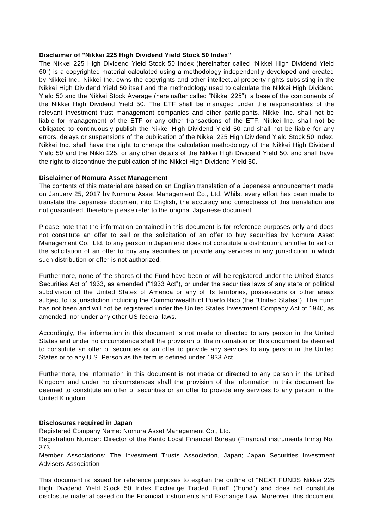#### **Disclaimer of "Nikkei 225 High Dividend Yield Stock 50 Index"**

The Nikkei 225 High Dividend Yield Stock 50 Index (hereinafter called "Nikkei High Dividend Yield 50") is a copyrighted material calculated using a methodology independently developed and created by Nikkei Inc.. Nikkei Inc. owns the copyrights and other intellectual property rights subsisting in the Nikkei High Dividend Yield 50 itself and the methodology used to calculate the Nikkei High Dividend Yield 50 and the Nikkei Stock Average (hereinafter called "Nikkei 225"), a base of the components of the Nikkei High Dividend Yield 50. The ETF shall be managed under the responsibilities of the relevant investment trust management companies and other participants. Nikkei Inc. shall not be liable for management of the ETF or any other transactions of the ETF. Nikkei Inc. shall not be obligated to continuously publish the Nikkei High Dividend Yield 50 and shall not be liable for any errors, delays or suspensions of the publication of the Nikkei 225 High Dividend Yield Stock 50 Index. Nikkei Inc. shall have the right to change the calculation methodology of the Nikkei High Dividend Yield 50 and the Nikki 225, or any other details of the Nikkei High Dividend Yield 50, and shall have the right to discontinue the publication of the Nikkei High Dividend Yield 50.

## **Disclaimer of Nomura Asset Management**

The contents of this material are based on an English translation of a Japanese announcement made on January 25, 2017 by Nomura Asset Management Co., Ltd. Whilst every effort has been made to translate the Japanese document into English, the accuracy and correctness of this translation are not guaranteed, therefore please refer to the original Japanese document.

Please note that the information contained in this document is for reference purposes only and does not constitute an offer to sell or the solicitation of an offer to buy securities by Nomura Asset Management Co., Ltd. to any person in Japan and does not constitute a distribution, an offer to sell or the solicitation of an offer to buy any securities or provide any services in any jurisdiction in which such distribution or offer is not authorized.

Furthermore, none of the shares of the Fund have been or will be registered under the United States Securities Act of 1933, as amended ("1933 Act"), or under the securities laws of any state or political subdivision of the United States of America or any of its territories, possessions or other areas subject to its jurisdiction including the Commonwealth of Puerto Rico (the "United States"). The Fund has not been and will not be registered under the United States Investment Company Act of 1940, as amended, nor under any other US federal laws.

Accordingly, the information in this document is not made or directed to any person in the United States and under no circumstance shall the provision of the information on this document be deemed to constitute an offer of securities or an offer to provide any services to any person in the United States or to any U.S. Person as the term is defined under 1933 Act.

Furthermore, the information in this document is not made or directed to any person in the United Kingdom and under no circumstances shall the provision of the information in this document be deemed to constitute an offer of securities or an offer to provide any services to any person in the United Kingdom.

# **Disclosures required in Japan**

Registered Company Name: Nomura Asset Management Co., Ltd.

Registration Number: Director of the Kanto Local Financial Bureau (Financial instruments firms) No. 373

Member Associations: The Investment Trusts Association, Japan; Japan Securities Investment Advisers Association

This document is issued for reference purposes to explain the outline of "NEXT FUNDS Nikkei 225 High Dividend Yield Stock 50 Index Exchange Traded Fund" ("Fund") and does not constitute disclosure material based on the Financial Instruments and Exchange Law. Moreover, this document